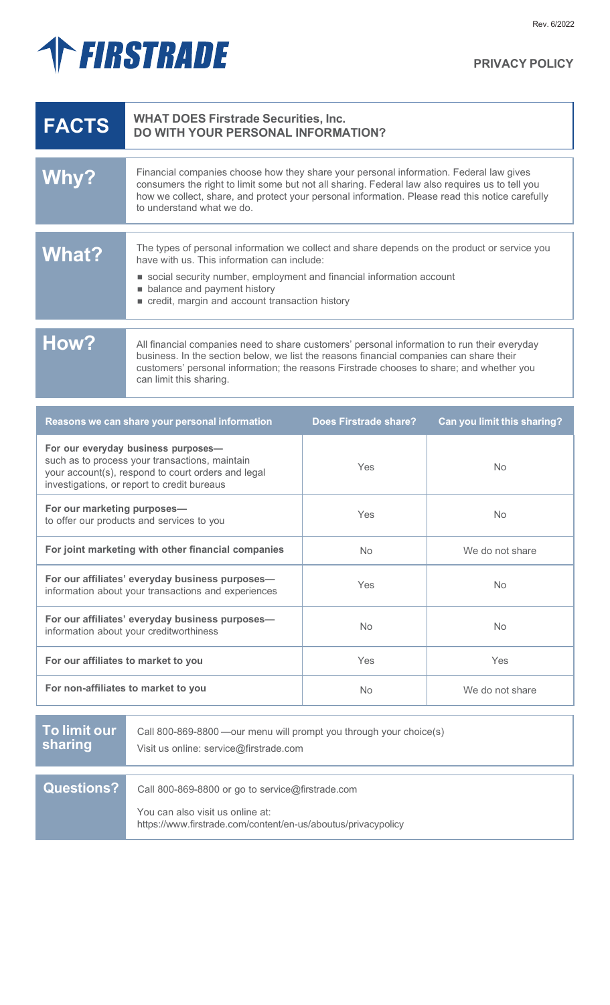# THRSTRADE

| <b>FACTS</b> | <b>WHAT DOES Firstrade Securities, Inc.</b><br><b>DO WITH YOUR PERSONAL INFORMATION?</b>                                                                                                                                                                                                                                  |
|--------------|---------------------------------------------------------------------------------------------------------------------------------------------------------------------------------------------------------------------------------------------------------------------------------------------------------------------------|
| Why?         | Financial companies choose how they share your personal information. Federal law gives<br>consumers the right to limit some but not all sharing. Federal law also requires us to tell you<br>how we collect, share, and protect your personal information. Please read this notice carefully<br>to understand what we do. |
| What?        | The types of personal information we collect and share depends on the product or service you<br>have with us. This information can include:<br>social security number, employment and financial information account<br>balance and payment history<br>credit, margin and account transaction history                      |
| How?         | All financial companies need to share customers' personal information to run their everyday<br>business. In the section below, we list the reasons financial companies can share their<br>customers' personal information; the reasons Firstrade chooses to share; and whether you<br>can limit this sharing.             |

| Reasons we can share your personal information                                                                                                                                             | <b>Does Firstrade share?</b> | Can you limit this sharing? |
|--------------------------------------------------------------------------------------------------------------------------------------------------------------------------------------------|------------------------------|-----------------------------|
| For our everyday business purposes-<br>such as to process your transactions, maintain<br>your account(s), respond to court orders and legal<br>investigations, or report to credit bureaus | Yes                          | <b>No</b>                   |
| For our marketing purposes-<br>to offer our products and services to you                                                                                                                   | Yes                          | <b>No</b>                   |
| For joint marketing with other financial companies                                                                                                                                         | N <sub>o</sub>               | We do not share             |
| For our affiliates' everyday business purposes-<br>information about your transactions and experiences                                                                                     | Yes                          | <b>No</b>                   |
| For our affiliates' everyday business purposes-<br>information about your creditworthiness                                                                                                 | N <sub>o</sub>               | <b>No</b>                   |
| For our affiliates to market to you                                                                                                                                                        | Yes                          | <b>Yes</b>                  |
| For non-affiliates to market to you                                                                                                                                                        | <b>No</b>                    | We do not share             |

| To limit our<br>sharing | Call 800-869-8800 —our menu will prompt you through your choice(s)<br>Visit us online: service@firstrade.com                                          |
|-------------------------|-------------------------------------------------------------------------------------------------------------------------------------------------------|
|                         |                                                                                                                                                       |
| <b>Questions?</b>       | Call 800-869-8800 or go to service@firstrade.com<br>You can also visit us online at:<br>https://www.firstrade.com/content/en-us/aboutus/privacypolicy |

**PRIVACY POLICY**